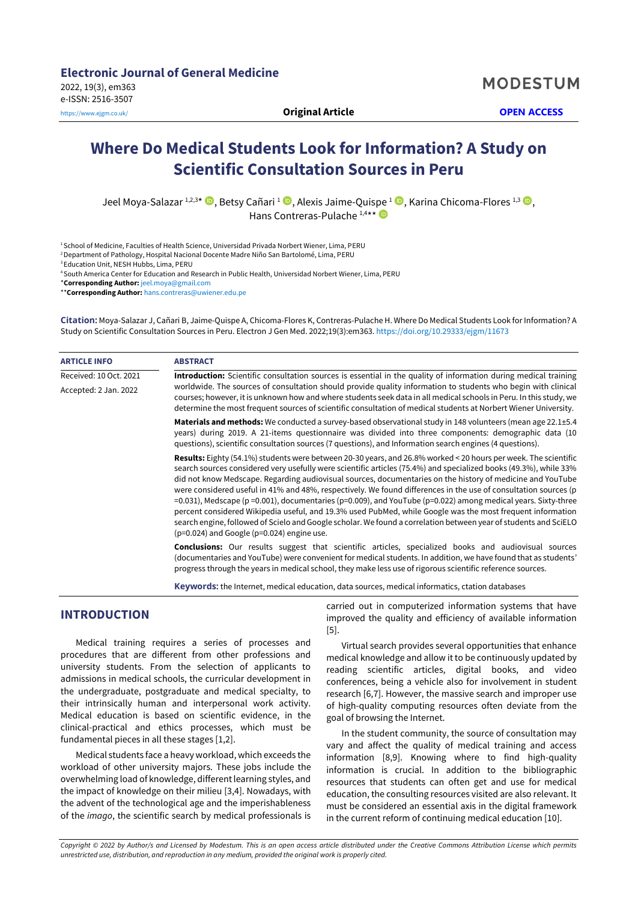# **Where Do Medical Students Look for Information? A Study on Scientific Consultation Sources in Peru**

Jeel Moya-Salazar 1[,](https://orcid.org/0000-0002-4526-0848)2,3\* D, Betsy Cañari 1 D, Alexis Jaime-Quispe 1 D, Karina Chicoma-Flores 1,3 D, Hans Contreras-Pulache<sup>1,4\*\*</sup>

<sup>1</sup> School of Medicine, Faculties of Health Science, Universidad Privada Norbert Wiener, Lima, PERU

<sup>2</sup>Department of Pathology, Hospital Nacional Docente Madre Niño San Bartolomé, Lima, PERU

<sup>3</sup> Education Unit, NESH Hubbs, Lima, PERU

<sup>4</sup>South America Center for Education and Research in Public Health, Universidad Norbert Wiener, Lima, PERU

\***Corresponding Author:** [jeel.moya@gmail.com](mailto:jeel.moya@gmail.com)

\*\***Corresponding Author:** [hans.contreras@uwiener.edu.pe](mailto:hans.contreras@uwiener.edu.pe)

**Citation:** Moya-Salazar J, Cañari B, Jaime-Quispe A, Chicoma-Flores K, Contreras-Pulache H. Where Do Medical Students Look for Information? A Study on Scientific Consultation Sources in Peru. Electron J Gen Med. 2022;19(3):em363. <https://doi.org/10.29333/ejgm/11673>

| <b>ARTICLE INFO</b>    | <b>ABSTRACT</b>                                                                                                                                                                                                                                                                                                                                                                                                                                                                                                                                                                                                                                                                                                                                                                                                                                                                               |  |  |  |  |
|------------------------|-----------------------------------------------------------------------------------------------------------------------------------------------------------------------------------------------------------------------------------------------------------------------------------------------------------------------------------------------------------------------------------------------------------------------------------------------------------------------------------------------------------------------------------------------------------------------------------------------------------------------------------------------------------------------------------------------------------------------------------------------------------------------------------------------------------------------------------------------------------------------------------------------|--|--|--|--|
| Received: 10 Oct. 2021 | Introduction: Scientific consultation sources is essential in the quality of information during medical training                                                                                                                                                                                                                                                                                                                                                                                                                                                                                                                                                                                                                                                                                                                                                                              |  |  |  |  |
| Accepted: 2 Jan. 2022  | worldwide. The sources of consultation should provide quality information to students who begin with clinical<br>courses; however, it is unknown how and where students seek data in all medical schools in Peru. In this study, we<br>determine the most frequent sources of scientific consultation of medical students at Norbert Wiener University.                                                                                                                                                                                                                                                                                                                                                                                                                                                                                                                                       |  |  |  |  |
|                        | Materials and methods: We conducted a survey-based observational study in 148 volunteers (mean age 22.1±5.4<br>years) during 2019. A 21-items questionnaire was divided into three components: demographic data (10<br>questions), scientific consultation sources (7 questions), and Information search engines (4 questions).                                                                                                                                                                                                                                                                                                                                                                                                                                                                                                                                                               |  |  |  |  |
|                        | Results: Eighty (54.1%) students were between 20-30 years, and 26.8% worked < 20 hours per week. The scientific<br>search sources considered very usefully were scientific articles (75.4%) and specialized books (49.3%), while 33%<br>did not know Medscape. Regarding audiovisual sources, documentaries on the history of medicine and YouTube<br>were considered useful in 41% and 48%, respectively. We found differences in the use of consultation sources (p<br>=0.031), Medscape ( $p = 0.001$ ), documentaries ( $p = 0.009$ ), and YouTube ( $p = 0.022$ ) among medical years. Sixty-three<br>percent considered Wikipedia useful, and 19.3% used PubMed, while Google was the most frequent information<br>search engine, followed of Scielo and Google scholar. We found a correlation between year of students and SciELO<br>$(p=0.024)$ and Google ( $p=0.024$ ) engine use. |  |  |  |  |
|                        | <b>Conclusions:</b> Our results suggest that scientific articles, specialized books and audiovisual sources<br>(documentaries and YouTube) were convenient for medical students. In addition, we have found that as students'<br>progress through the years in medical school, they make less use of rigorous scientific reference sources.                                                                                                                                                                                                                                                                                                                                                                                                                                                                                                                                                   |  |  |  |  |
|                        |                                                                                                                                                                                                                                                                                                                                                                                                                                                                                                                                                                                                                                                                                                                                                                                                                                                                                               |  |  |  |  |

**Keywords:** the Internet, medical education, data sources, medical informatics, ctation databases

# **INTRODUCTION**

Medical training requires a series of processes and procedures that are different from other professions and university students. From the selection of applicants to admissions in medical schools, the curricular development in the undergraduate, postgraduate and medical specialty, to their intrinsically human and interpersonal work activity. Medical education is based on scientific evidence, in the clinical-practical and ethics processes, which must be fundamental pieces in all these stages [1,2].

Medical students face a heavy workload, which exceeds the workload of other university majors. These jobs include the overwhelming load of knowledge, different learning styles, and the impact of knowledge on their milieu [3,4]. Nowadays, with the advent of the technological age and the imperishableness of the *imago*, the scientific search by medical professionals is carried out in computerized information systems that have improved the quality and efficiency of available information [5].

Virtual search provides several opportunities that enhance medical knowledge and allow it to be continuously updated by reading scientific articles, digital books, and video conferences, being a vehicle also for involvement in student research [6,7]. However, the massive search and improper use of high-quality computing resources often deviate from the goal of browsing the Internet.

In the student community, the source of consultation may vary and affect the quality of medical training and access information [8,9]. Knowing where to find high-quality information is crucial. In addition to the bibliographic resources that students can often get and use for medical education, the consulting resources visited are also relevant. It must be considered an essential axis in the digital framework in the current reform of continuing medical education [10].

*Copyright © 2022 by Author/s and Licensed by Modestum. This is an open access article distributed under the Creative Commons Attribution License which permits unrestricted use, distribution, and reproduction in any medium, provided the original work is properly cited.*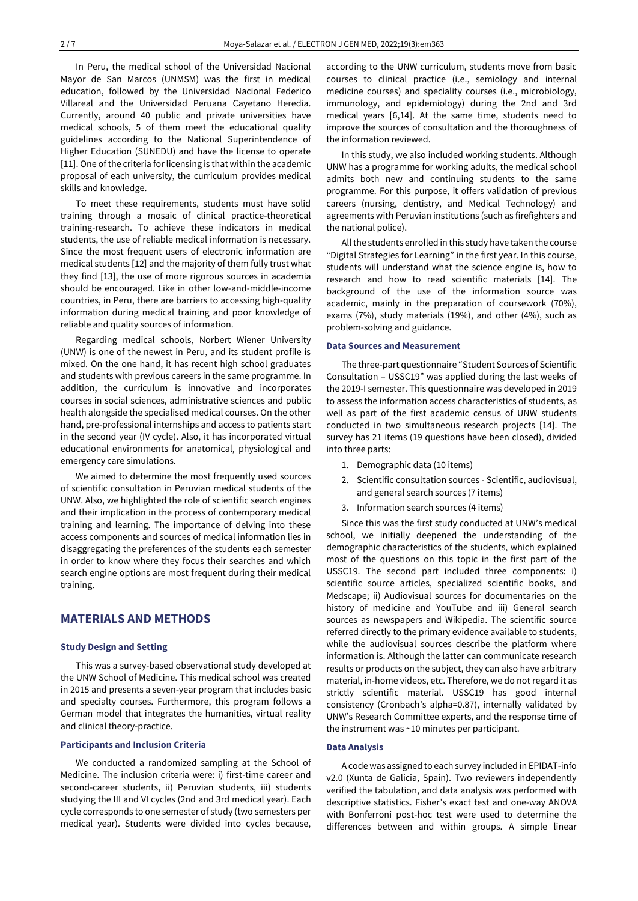In Peru, the medical school of the Universidad Nacional Mayor de San Marcos (UNMSM) was the first in medical education, followed by the Universidad Nacional Federico Villareal and the Universidad Peruana Cayetano Heredia. Currently, around 40 public and private universities have medical schools, 5 of them meet the educational quality guidelines according to the National Superintendence of Higher Education (SUNEDU) and have the license to operate [11]. One of the criteria for licensing is that within the academic proposal of each university, the curriculum provides medical skills and knowledge.

To meet these requirements, students must have solid training through a mosaic of clinical practice-theoretical training-research. To achieve these indicators in medical students, the use of reliable medical information is necessary. Since the most frequent users of electronic information are medical students [12] and the majority of them fully trust what they find [13], the use of more rigorous sources in academia should be encouraged. Like in other low-and-middle-income countries, in Peru, there are barriers to accessing high-quality information during medical training and poor knowledge of reliable and quality sources of information.

Regarding medical schools, Norbert Wiener University (UNW) is one of the newest in Peru, and its student profile is mixed. On the one hand, it has recent high school graduates and students with previous careers in the same programme. In addition, the curriculum is innovative and incorporates courses in social sciences, administrative sciences and public health alongside the specialised medical courses. On the other hand, pre-professional internships and access to patients start in the second year (IV cycle). Also, it has incorporated virtual educational environments for anatomical, physiological and emergency care simulations.

We aimed to determine the most frequently used sources of scientific consultation in Peruvian medical students of the UNW. Also, we highlighted the role of scientific search engines and their implication in the process of contemporary medical training and learning. The importance of delving into these access components and sources of medical information lies in disaggregating the preferences of the students each semester in order to know where they focus their searches and which search engine options are most frequent during their medical training.

# **MATERIALS AND METHODS**

#### **Study Design and Setting**

This was a survey-based observational study developed at the UNW School of Medicine. This medical school was created in 2015 and presents a seven-year program that includes basic and specialty courses. Furthermore, this program follows a German model that integrates the humanities, virtual reality and clinical theory-practice.

#### **Participants and Inclusion Criteria**

We conducted a randomized sampling at the School of Medicine. The inclusion criteria were: i) first-time career and second-career students, ii) Peruvian students, iii) students studying the III and VI cycles (2nd and 3rd medical year). Each cycle corresponds to one semester of study (two semesters per medical year). Students were divided into cycles because,

according to the UNW curriculum, students move from basic courses to clinical practice (i.e., semiology and internal medicine courses) and speciality courses (i.e., microbiology, immunology, and epidemiology) during the 2nd and 3rd medical years [6,14]. At the same time, students need to improve the sources of consultation and the thoroughness of the information reviewed.

In this study, we also included working students. Although UNW has a programme for working adults, the medical school admits both new and continuing students to the same programme. For this purpose, it offers validation of previous careers (nursing, dentistry, and Medical Technology) and agreements with Peruvian institutions (such as firefighters and the national police).

All the students enrolled in this study have taken the course "Digital Strategies for Learning" in the first year. In this course, students will understand what the science engine is, how to research and how to read scientific materials [14]. The background of the use of the information source was academic, mainly in the preparation of coursework (70%), exams (7%), study materials (19%), and other (4%), such as problem-solving and guidance.

#### **Data Sources and Measurement**

The three-part questionnaire "Student Sources of Scientific Consultation – USSC19" was applied during the last weeks of the 2019-I semester. This questionnaire was developed in 2019 to assess the information access characteristics of students, as well as part of the first academic census of UNW students conducted in two simultaneous research projects [14]. The survey has 21 items (19 questions have been closed), divided into three parts:

- 1. Demographic data (10 items)
- 2. Scientific consultation sources Scientific, audiovisual, and general search sources (7 items)
- 3. Information search sources (4 items)

Since this was the first study conducted at UNW's medical school, we initially deepened the understanding of the demographic characteristics of the students, which explained most of the questions on this topic in the first part of the USSC19. The second part included three components: i) scientific source articles, specialized scientific books, and Medscape; ii) Audiovisual sources for documentaries on the history of medicine and YouTube and iii) General search sources as newspapers and Wikipedia. The scientific source referred directly to the primary evidence available to students, while the audiovisual sources describe the platform where information is. Although the latter can communicate research results or products on the subject, they can also have arbitrary material, in-home videos, etc. Therefore, we do not regard it as strictly scientific material. USSC19 has good internal consistency (Cronbach's alpha=0.87), internally validated by UNW's Research Committee experts, and the response time of the instrument was ~10 minutes per participant.

### **Data Analysis**

A code was assigned to each survey included in EPIDAT-info v2.0 (Xunta de Galicia, Spain). Two reviewers independently verified the tabulation, and data analysis was performed with descriptive statistics. Fisher's exact test and one-way ANOVA with Bonferroni post-hoc test were used to determine the differences between and within groups. A simple linear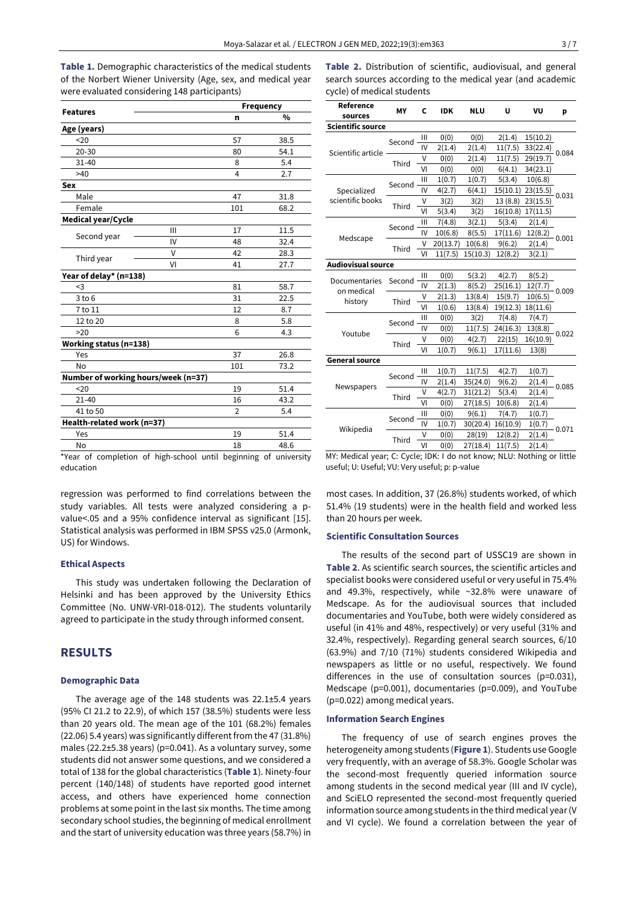**Table 1.** Demographic characteristics of the medical students of the Norbert Wiener University (Age, sex, and medical year were evaluated considering 148 participants)

|                                     |    | Frequency      |      |  |  |
|-------------------------------------|----|----------------|------|--|--|
| <b>Features</b>                     | n  | $\frac{0}{0}$  |      |  |  |
| Age (years)                         |    |                |      |  |  |
| 20                                  |    | 57             | 38.5 |  |  |
| $20 - 30$                           |    | 80             | 54.1 |  |  |
| $31 - 40$                           |    | 8              | 5.4  |  |  |
| >40                                 |    | 4              | 2.7  |  |  |
| <b>Sex</b>                          |    |                |      |  |  |
| Male                                |    | 47             | 31.8 |  |  |
| Female                              |    | 101            | 68.2 |  |  |
| <b>Medical year/Cycle</b>           |    |                |      |  |  |
|                                     | Ш  | 17             | 11.5 |  |  |
| Second year                         | IV | 48             | 32.4 |  |  |
|                                     | v  | 42             | 28.3 |  |  |
| Third year                          | VI | 41             | 27.7 |  |  |
| Year of delay* (n=138)              |    |                |      |  |  |
| <3                                  |    | 81             | 58.7 |  |  |
| $3$ to $6$                          |    | 31             | 22.5 |  |  |
| 7 to 11                             |    | 12             | 8.7  |  |  |
| 12 to 20                            |    | 8              | 5.8  |  |  |
| >20                                 |    | 6              | 4.3  |  |  |
| Working status (n=138)              |    |                |      |  |  |
| Yes                                 |    | 37             | 26.8 |  |  |
| No                                  |    | 101            | 73.2 |  |  |
| Number of working hours/week (n=37) |    |                |      |  |  |
| 20                                  |    | 19             | 51.4 |  |  |
| $21 - 40$                           |    | 16             | 43.2 |  |  |
| 41 to 50                            |    | $\overline{2}$ | 5.4  |  |  |
| Health-related work (n=37)          |    |                |      |  |  |
| Yes                                 |    | 19             | 51.4 |  |  |
| No                                  |    | 18             | 48.6 |  |  |

**Table 2.** Distribution of scientific, audiovisual, and general search sources according to the medical year (and academic cycle) of medical students

| Reference<br>sources        | MY       | C              | <b>IDK</b> | <b>NLU</b> | U        | VU       | p     |  |  |  |
|-----------------------------|----------|----------------|------------|------------|----------|----------|-------|--|--|--|
| <b>Scientific source</b>    |          |                |            |            |          |          |       |  |  |  |
|                             | Second   | III            | 0(0)       | 0(0)       | 2(1.4)   | 15(10.2) | 0.084 |  |  |  |
|                             |          | IV             | 2(1.4)     | 2(1.4)     | 11(7.5)  | 33(22.4) |       |  |  |  |
| Scientific article          | Third    | V              | 0(0)       | 2(1.4)     | 11(7.5)  | 29(19.7) |       |  |  |  |
|                             |          | VI             | 0(0)       | 0(0)       | 6(4.1)   | 34(23.1) |       |  |  |  |
|                             | Second · | Ш              | 1(0.7)     | 1(0.7)     | 5(3.4)   | 10(6.8)  | 0.031 |  |  |  |
| Specialized                 |          | IV             | 4(2.7)     | 6(4.1)     | 15(10.1) | 23(15.5) |       |  |  |  |
| scientific books            | Third    | V              | 3(2)       | 3(2)       | 13(8.8)  | 23(15.5) |       |  |  |  |
|                             |          | VI             | 5(3.4)     | 3(2)       | 16(10.8) | 17(11.5) |       |  |  |  |
|                             | Second   | $\mathbf{III}$ | 7(4.8)     | 3(2.1)     | 5(3.4)   | 2(1.4)   | 0.001 |  |  |  |
|                             |          | IV             | 10(6.8)    | 8(5.5)     | 17(11.6) | 12(8.2)  |       |  |  |  |
| Medscape                    | Third    | V              | 20(13.7)   | 10(6.8)    | 9(6.2)   | 2(1.4)   |       |  |  |  |
|                             |          | VI             | 11(7.5)    | 15(10.3)   | 12(8.2)  | 3(2.1)   |       |  |  |  |
| <b>Audiovisual source</b>   |          |                |            |            |          |          |       |  |  |  |
|                             | Second   | $\mathsf{III}$ | 0(0)       | 5(3.2)     | 4(2.7)   | 8(5.2)   | 0.009 |  |  |  |
| Documentaries<br>on medical |          | IV             | 2(1.3)     | 8(5.2)     | 25(16.1) | 12(7.7)  |       |  |  |  |
|                             | Third    | V              | 2(1.3)     | 13(8.4)    | 15(9.7)  | 10(6.5)  |       |  |  |  |
| history                     |          | VI             | 1(0.6)     | 13(8.4)    | 19(12.3) | 18(11.6) |       |  |  |  |
|                             | Second   | $\mathbf{III}$ | 0(0)       | 3(2)       | 7(4.8)   | 7(4.7)   | 0.022 |  |  |  |
|                             |          | IV             | 0(0)       | 11(7.5)    | 24(16.3) | 13(8.8)  |       |  |  |  |
| Youtube                     | Third    | V              | 0(0)       | 4(2.7)     | 22(15)   | 16(10.9) |       |  |  |  |
|                             |          | VI             | 1(0.7)     | 9(6.1)     | 17(11.6) | 13(8)    |       |  |  |  |
| <b>General source</b>       |          |                |            |            |          |          |       |  |  |  |
|                             | Second   | Ш              | 1(0.7)     | 11(7.5)    | 4(2.7)   | 1(0.7)   |       |  |  |  |
|                             |          | IV             | 2(1.4)     | 35(24.0)   | 9(6.2)   | 2(1.4)   | 0.085 |  |  |  |
| Newspapers                  | Third    | V              | 4(2.7)     | 31(21.2)   | 5(3.4)   | 2(1.4)   |       |  |  |  |
|                             |          | VI             | 0(0)       | 27(18.5)   | 10(6.8)  | 2(1.4)   |       |  |  |  |
|                             | Second   | Ш              | 0(0)       | 9(6.1)     | 7(4.7)   | 1(0.7)   |       |  |  |  |
|                             |          | IV             | 1(0.7)     | 30(20.4)   | 16(10.9) | 1(0.7)   | 0.071 |  |  |  |
| Wikipedia                   | Third    | V              | 0(0)       | 28(19)     | 12(8.2)  | 2(1.4)   |       |  |  |  |
|                             |          | VI             | 0(0)       | 27(18.4)   | 11(7.5)  | 2(1.4)   |       |  |  |  |

\*Year of completion of high-school until beginning of university education

regression was performed to find correlations between the study variables. All tests were analyzed considering a pvalue<.05 and a 95% confidence interval as significant [15]. Statistical analysis was performed in IBM SPSS v25.0 (Armonk, US) for Windows.

#### **Ethical Aspects**

This study was undertaken following the Declaration of Helsinki and has been approved by the University Ethics Committee (No. UNW-VRI-018-012). The students voluntarily agreed to participate in the study through informed consent.

# **RESULTS**

#### **Demographic Data**

The average age of the 148 students was 22.1±5.4 years (95% CI 21.2 to 22.9), of which 157 (38.5%) students were less than 20 years old. The mean age of the 101 (68.2%) females (22.06) 5.4 years) was significantly different from the 47 (31.8%) males (22.2±5.38 years) (p=0.041). As a voluntary survey, some students did not answer some questions, and we considered a total of 138 for the global characteristics (**Table 1**). Ninety-four percent (140/148) of students have reported good internet access, and others have experienced home connection problems at some point in the last six months. The time among secondary school studies, the beginning of medical enrollment and the start of university education was three years (58.7%) in MY: Medical year; C: Cycle; IDK: I do not know; NLU: Nothing or little useful; U: Useful; VU: Very useful; p: p-value

most cases. In addition, 37 (26.8%) students worked, of which 51.4% (19 students) were in the health field and worked less than 20 hours per week.

#### **Scientific Consultation Sources**

The results of the second part of USSC19 are shown in **Table 2**. As scientific search sources, the scientific articles and specialist books were considered useful or very useful in 75.4% and 49.3%, respectively, while ~32.8% were unaware of Medscape. As for the audiovisual sources that included documentaries and YouTube, both were widely considered as useful (in 41% and 48%, respectively) or very useful (31% and 32.4%, respectively). Regarding general search sources, 6/10 (63.9%) and 7/10 (71%) students considered Wikipedia and newspapers as little or no useful, respectively. We found differences in the use of consultation sources (p=0.031), Medscape (p=0.001), documentaries (p=0.009), and YouTube (p=0.022) among medical years.

#### **Information Search Engines**

The frequency of use of search engines proves the heterogeneity among students (**Figure 1**). Students use Google very frequently, with an average of 58.3%. Google Scholar was the second-most frequently queried information source among students in the second medical year (III and IV cycle), and SciELO represented the second-most frequently queried information source among students in the third medical year (V and VI cycle). We found a correlation between the year of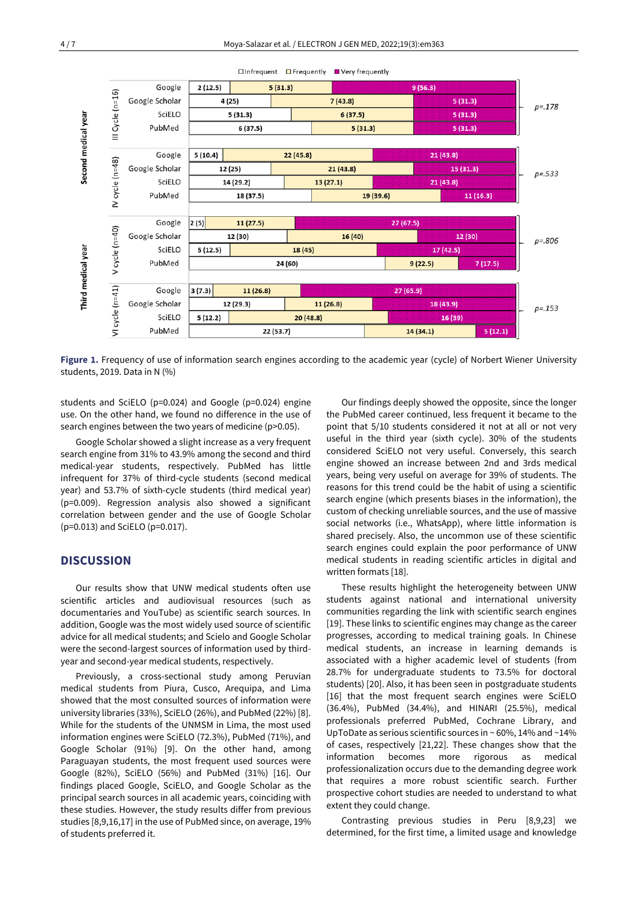

**Figure 1.** Frequency of use of information search engines according to the academic year (cycle) of Norbert Wiener University students, 2019. Data in N (%)

students and SciELO (p=0.024) and Google (p=0.024) engine use. On the other hand, we found no difference in the use of search engines between the two years of medicine (p>0.05).

Google Scholar showed a slight increase as a very frequent search engine from 31% to 43.9% among the second and third medical-year students, respectively. PubMed has little infrequent for 37% of third-cycle students (second medical year) and 53.7% of sixth-cycle students (third medical year) (p=0.009). Regression analysis also showed a significant correlation between gender and the use of Google Scholar (p=0.013) and SciELO (p=0.017).

# **DISCUSSION**

Our results show that UNW medical students often use scientific articles and audiovisual resources (such as documentaries and YouTube) as scientific search sources. In addition, Google was the most widely used source of scientific advice for all medical students; and Scielo and Google Scholar were the second-largest sources of information used by thirdyear and second-year medical students, respectively.

Previously, a cross-sectional study among Peruvian medical students from Piura, Cusco, Arequipa, and Lima showed that the most consulted sources of information were university libraries (33%), SciELO (26%), and PubMed (22%) [8]. While for the students of the UNMSM in Lima, the most used information engines were SciELO (72.3%), PubMed (71%), and Google Scholar (91%) [9]. On the other hand, among Paraguayan students, the most frequent used sources were Google (82%), SciELO (56%) and PubMed (31%) [16]. Our findings placed Google, SciELO, and Google Scholar as the principal search sources in all academic years, coinciding with these studies. However, the study results differ from previous studies [8,9,16,17] in the use of PubMed since, on average, 19% of students preferred it.

Our findings deeply showed the opposite, since the longer the PubMed career continued, less frequent it became to the point that 5/10 students considered it not at all or not very useful in the third year (sixth cycle). 30% of the students considered SciELO not very useful. Conversely, this search engine showed an increase between 2nd and 3rds medical years, being very useful on average for 39% of students. The reasons for this trend could be the habit of using a scientific search engine (which presents biases in the information), the custom of checking unreliable sources, and the use of massive social networks (i.e., WhatsApp), where little information is shared precisely. Also, the uncommon use of these scientific search engines could explain the poor performance of UNW medical students in reading scientific articles in digital and written formats [18].

These results highlight the heterogeneity between UNW students against national and international university communities regarding the link with scientific search engines [19]. These links to scientific engines may change as the career progresses, according to medical training goals. In Chinese medical students, an increase in learning demands is associated with a higher academic level of students (from 28.7% for undergraduate students to 73.5% for doctoral students) [20]. Also, it has been seen in postgraduate students [16] that the most frequent search engines were SciELO (36.4%), PubMed (34.4%), and HINARI (25.5%), medical professionals preferred PubMed, Cochrane Library, and UpToDate as serious scientific sources in  $\sim$  60%, 14% and  $\sim$ 14% of cases, respectively [21,22]. These changes show that the information becomes more rigorous as medical professionalization occurs due to the demanding degree work that requires a more robust scientific search. Further prospective cohort studies are needed to understand to what extent they could change.

Contrasting previous studies in Peru [8,9,23] we determined, for the first time, a limited usage and knowledge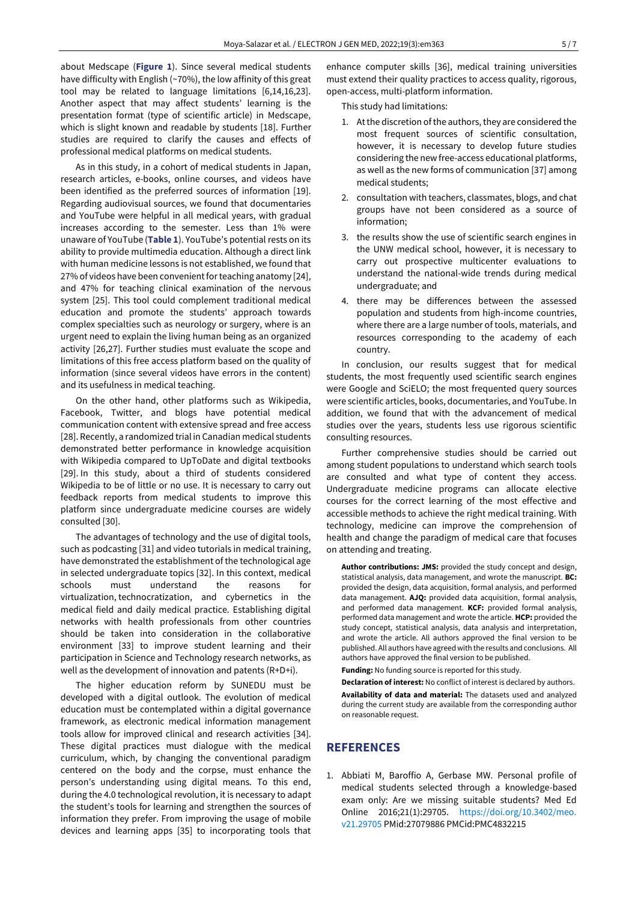about Medscape (**Figure 1**). Since several medical students have difficulty with English (~70%), the low affinity of this great tool may be related to language limitations [6,14,16,23]. Another aspect that may affect students' learning is the presentation format (type of scientific article) in Medscape, which is slight known and readable by students [18]. Further studies are required to clarify the causes and effects of professional medical platforms on medical students.

As in this study, in a cohort of medical students in Japan, research articles, e-books, online courses, and videos have been identified as the preferred sources of information [19]. Regarding audiovisual sources, we found that documentaries and YouTube were helpful in all medical years, with gradual increases according to the semester. Less than 1% were unaware of YouTube (**Table 1**). YouTube's potential rests on its ability to provide multimedia education. Although a direct link with human medicine lessons is not established, we found that 27% of videos have been convenient for teaching anatomy [24], and 47% for teaching clinical examination of the nervous system [25]. This tool could complement traditional medical education and promote the students' approach towards complex specialties such as neurology or surgery, where is an urgent need to explain the living human being as an organized activity [26,27]. Further studies must evaluate the scope and limitations of this free access platform based on the quality of information (since several videos have errors in the content) and its usefulness in medical teaching.

On the other hand, other platforms such as Wikipedia, Facebook, Twitter, and blogs have potential medical communication content with extensive spread and free access [28]. Recently, a randomized trial in Canadian medical students demonstrated better performance in knowledge acquisition with Wikipedia compared to UpToDate and digital textbooks [29]. In this study, about a third of students considered Wikipedia to be of little or no use. It is necessary to carry out feedback reports from medical students to improve this platform since undergraduate medicine courses are widely consulted [30].

The advantages of technology and the use of digital tools, such as podcasting [31] and video tutorials in medical training, have demonstrated the establishment of the technological age in selected undergraduate topics [32]. In this context, medical schools must understand the reasons for virtualization, technocratization, and cybernetics in the medical field and daily medical practice. Establishing digital networks with health professionals from other countries should be taken into consideration in the collaborative environment [33] to improve student learning and their participation in Science and Technology research networks, as well as the development of innovation and patents (R+D+i).

The higher education reform by SUNEDU must be developed with a digital outlook. The evolution of medical education must be contemplated within a digital governance framework, as electronic medical information management tools allow for improved clinical and research activities [34]. These digital practices must dialogue with the medical curriculum, which, by changing the conventional paradigm centered on the body and the corpse, must enhance the person's understanding using digital means. To this end, during the 4.0 technological revolution, it is necessary to adapt the student's tools for learning and strengthen the sources of information they prefer. From improving the usage of mobile devices and learning apps [35] to incorporating tools that

enhance computer skills [36], medical training universities must extend their quality practices to access quality, rigorous, open-access, multi-platform information.

This study had limitations:

- 1. At the discretion of the authors, they are considered the most frequent sources of scientific consultation, however, it is necessary to develop future studies considering the new free-access educational platforms, as well as the new forms of communication [37] among medical students;
- 2. consultation with teachers, classmates, blogs, and chat groups have not been considered as a source of information;
- 3. the results show the use of scientific search engines in the UNW medical school, however, it is necessary to carry out prospective multicenter evaluations to understand the national-wide trends during medical undergraduate; and
- 4. there may be differences between the assessed population and students from high-income countries, where there are a large number of tools, materials, and resources corresponding to the academy of each country.

In conclusion, our results suggest that for medical students, the most frequently used scientific search engines were Google and SciELO; the most frequented query sources were scientific articles, books, documentaries, and YouTube. In addition, we found that with the advancement of medical studies over the years, students less use rigorous scientific consulting resources.

Further comprehensive studies should be carried out among student populations to understand which search tools are consulted and what type of content they access. Undergraduate medicine programs can allocate elective courses for the correct learning of the most effective and accessible methods to achieve the right medical training. With technology, medicine can improve the comprehension of health and change the paradigm of medical care that focuses on attending and treating.

**Author contributions: JMS:** provided the study concept and design, statistical analysis, data management, and wrote the manuscript. **BC:** provided the design, data acquisition, formal analysis, and performed data management. **AJQ:** provided data acquisition, formal analysis, and performed data management. **KCF:** provided formal analysis, performed data management and wrote the article. **HCP:** provided the study concept, statistical analysis, data analysis and interpretation, and wrote the article. All authors approved the final version to be published. All authors have agreed with the results and conclusions. All authors have approved the final version to be published.

**Funding:** No funding source is reported for this study.

**Declaration of interest:** No conflict of interest is declared by authors. **Availability of data and material:** The datasets used and analyzed during the current study are available from the corresponding author on reasonable request.

# **REFERENCES**

1. Abbiati M, Baroffio A, Gerbase MW. Personal profile of medical students selected through a knowledge-based exam only: Are we missing suitable students? Med Ed Online 2016;21(1):29705. [https://doi.org/10.3402/meo.](https://doi.org/10.3402/meo.v21.29705) [v21.29705](https://doi.org/10.3402/meo.v21.29705) PMid:27079886 PMCid:PMC4832215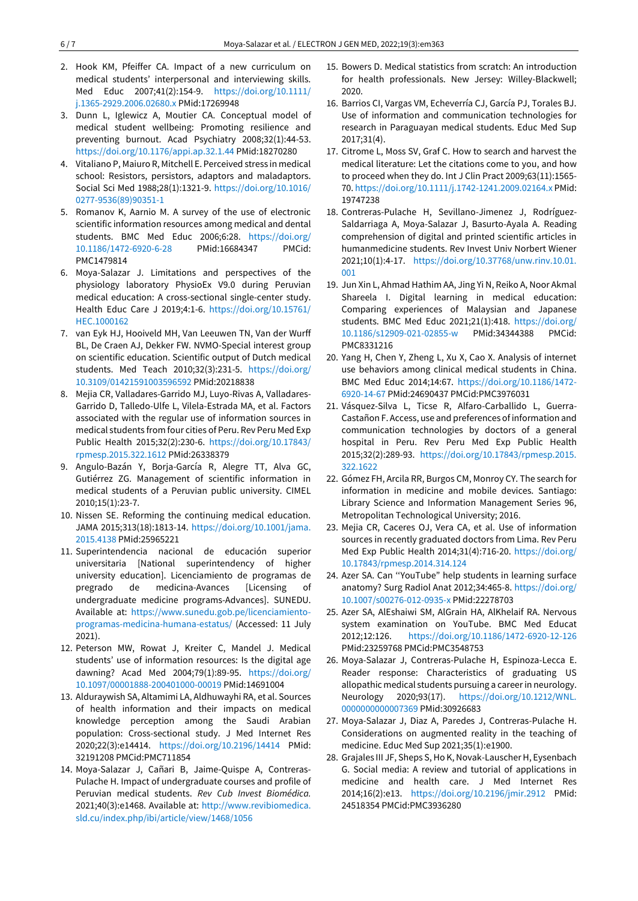- 2. Hook KM, Pfeiffer CA. Impact of a new curriculum on medical students' interpersonal and interviewing skills. Med Educ 2007;41(2):154-9. [https://doi.org/10.1111/](https://doi.org/10.1111/j.1365-2929.2006.02680.x) [j.1365-2929.2006.02680.x](https://doi.org/10.1111/j.1365-2929.2006.02680.x) PMid:17269948
- 3. Dunn L, Iglewicz A, Moutier CA. Conceptual model of medical student wellbeing: Promoting resilience and preventing burnout. Acad Psychiatry 2008;32(1):44-53. <https://doi.org/10.1176/appi.ap.32.1.44> PMid:18270280
- 4. Vitaliano P, Maiuro R, Mitchell E. Perceived stress in medical school: Resistors, persistors, adaptors and maladaptors. Social Sci Med 1988;28(1):1321-9. [https://doi.org/10.1016/](https://doi.org/10.1016/0277-9536(89)90351-1) [0277-9536\(89\)90351-1](https://doi.org/10.1016/0277-9536(89)90351-1)
- 5. Romanov K, Aarnio M. A survey of the use of electronic scientific information resources among medical and dental students. BMC Med Educ 2006;6:28. [https://doi.org/](https://doi.org/10.1186/1472-6920-6-28) [10.1186/1472-6920-6-28](https://doi.org/10.1186/1472-6920-6-28) PMid:16684347 PMCid: PMC1479814
- 6. Moya-Salazar J. Limitations and perspectives of the physiology laboratory PhysioEx V9.0 during Peruvian medical education: A cross-sectional single-center study. Health Educ Care J 2019;4:1-6. [https://doi.org/10.15761/](https://doi.org/10.15761/HEC.1000162) [HEC.1000162](https://doi.org/10.15761/HEC.1000162)
- 7. van Eyk HJ, Hooiveld MH, Van Leeuwen TN, Van der Wurff BL, De Craen AJ, Dekker FW. NVMO-Special interest group on scientific education. Scientific output of Dutch medical students. Med Teach 2010;32(3):231-5. [https://doi.org/](https://doi.org/10.3109/01421591003596592) [10.3109/01421591003596592](https://doi.org/10.3109/01421591003596592) PMid:20218838
- 8. Mejia CR, Valladares-Garrido MJ, Luyo-Rivas A, Valladares-Garrido D, Talledo-Ulfe L, Vilela-Estrada MA, et al. Factors associated with the regular use of information sources in medical students from four cities of Peru. Rev Peru Med Exp Public Health 2015;32(2):230-6. [https://doi.org/10.17843/](https://doi.org/10.17843/rpmesp.2015.322.1612) [rpmesp.2015.322.1612](https://doi.org/10.17843/rpmesp.2015.322.1612) PMid:26338379
- 9. Angulo-Bazán Y, Borja-García R, Alegre TT, Alva GC, Gutiérrez ZG. Management of scientific information in medical students of a Peruvian public university. CIMEL 2010;15(1):23-7.
- 10. Nissen SE. Reforming the continuing medical education. JAMA 2015;313(18):1813-14. [https://doi.org/10.1001/jama.](https://doi.org/10.1001/jama.2015.4138) [2015.4138](https://doi.org/10.1001/jama.2015.4138) PMid:25965221
- 11. Superintendencia nacional de educación superior universitaria [National superintendency of higher university education]. Licenciamiento de programas de pregrado de medicina-Avances [Licensing of undergraduate medicine programs-Advances]. SUNEDU. Available at: [https://www.sunedu.gob.pe/licenciamiento](https://www.sunedu.gob.pe/licenciamiento-programas-medicina-humana-estatus/)[programas-medicina-humana-estatus/](https://www.sunedu.gob.pe/licenciamiento-programas-medicina-humana-estatus/) (Accessed: 11 July 2021).
- 12. Peterson MW, Rowat J, Kreiter C, Mandel J. Medical students' use of information resources: Is the digital age dawning? Acad Med 2004;79(1):89-95. [https://doi.org/](https://doi.org/10.1097/00001888-200401000-00019) [10.1097/00001888-200401000-00019](https://doi.org/10.1097/00001888-200401000-00019) PMid:14691004
- 13. Alduraywish SA, Altamimi LA, Aldhuwayhi RA, et al. Sources of health information and their impacts on medical knowledge perception among the Saudi Arabian population: Cross-sectional study. J Med Internet Res 2020;22(3):e14414. <https://doi.org/10.2196/14414> PMid: 32191208 PMCid:PMC711854
- 14. Moya-Salazar J, Cañari B, Jaime-Quispe A, Contreras-Pulache H. Impact of undergraduate courses and profile of Peruvian medical students. *Rev Cub Invest Biomédica.*  2021;40(3):e1468. Available at: [http://www.revibiomedica.](http://www.revibiomedica.sld.cu/index.php/ibi/article/view/1468/1056) [sld.cu/index.php/ibi/article/view/1468/1056](http://www.revibiomedica.sld.cu/index.php/ibi/article/view/1468/1056)
- 15. Bowers D. Medical statistics from scratch: An introduction for health professionals. New Jersey: Willey-Blackwell; 2020.
- 16. Barrios CI, Vargas VM, Echeverría CJ, García PJ, Torales BJ. Use of information and communication technologies for research in Paraguayan medical students. Educ Med Sup 2017;31(4).
- 17. Citrome L, Moss SV, Graf C. How to search and harvest the medical literature: Let the citations come to you, and how to proceed when they do. Int J Clin Pract 2009;63(11):1565- 70[. https://doi.org/10.1111/j.1742-1241.2009.02164.x](https://doi.org/10.1111/j.1742-1241.2009.02164.x) PMid: 19747238
- 18. Contreras-Pulache H, Sevillano-Jimenez J, Rodríguez-Saldarriaga A, Moya-Salazar J, Basurto-Ayala A. Reading comprehension of digital and printed scientific articles in humanmedicine students. Rev Invest Univ Norbert Wiener 2021;10(1):4-17. [https://doi.org/10.37768/unw.rinv.10.01.](https://doi.org/10.37768/unw.rinv.10.01.001) [001](https://doi.org/10.37768/unw.rinv.10.01.001)
- 19. Jun Xin L, Ahmad Hathim AA, Jing Yi N, Reiko A, Noor Akmal Shareela I. Digital learning in medical education: Comparing experiences of Malaysian and Japanese students. BMC Med Educ 2021;21(1):418. [https://doi.org/](https://doi.org/10.1186/s12909-021-02855-w) [10.1186/s12909-021-02855-w](https://doi.org/10.1186/s12909-021-02855-w) PMid:34344388 PMCid: PMC8331216
- 20. Yang H, Chen Y, Zheng L, Xu X, Cao X. Analysis of internet use behaviors among clinical medical students in China. BMC Med Educ 2014;14:67. [https://doi.org/10.1186/1472-](https://doi.org/10.1186/1472-6920-14-67) [6920-14-67](https://doi.org/10.1186/1472-6920-14-67) PMid:24690437 PMCid:PMC3976031
- 21. Vásquez-Silva L, Ticse R, Alfaro-Carballido L, Guerra-Castañon F. Access, use and preferences of information and communication technologies by doctors of a general hospital in Peru. Rev Peru Med Exp Public Health 2015;32(2):289-93. [https://doi.org/10.17843/rpmesp.2015.](https://doi.org/10.17843/rpmesp.2015.322.1622) [322.1622](https://doi.org/10.17843/rpmesp.2015.322.1622)
- 22. Gómez FH, Arcila RR, Burgos CM, Monroy CY. The search for information in medicine and mobile devices. Santiago: Library Science and Information Management Series 96, Metropolitan Technological University; 2016.
- 23. Mejia CR, Caceres OJ, Vera CA, et al. Use of information sources in recently graduated doctors from Lima. Rev Peru Med Exp Public Health 2014;31(4):716-20. [https://doi.org/](https://doi.org/10.17843/rpmesp.2014.314.124) [10.17843/rpmesp.2014.314.124](https://doi.org/10.17843/rpmesp.2014.314.124)
- 24. Azer SA. Can ''YouTube" help students in learning surface anatomy? Surg Radiol Anat 2012;34:465-8[. https://doi.org/](https://doi.org/10.1007/s00276-012-0935-x) [10.1007/s00276-012-0935-x](https://doi.org/10.1007/s00276-012-0935-x) PMid:22278703
- 25. Azer SA, AlEshaiwi SM, AlGrain HA, AlKhelaif RA. Nervous system examination on YouTube. BMC Med Educat 2012;12:126. <https://doi.org/10.1186/1472-6920-12-126> PMid:23259768 PMCid:PMC3548753
- 26. Moya-Salazar J, Contreras-Pulache H, Espinoza-Lecca E. Reader response: Characteristics of graduating US allopathic medical students pursuing a career in neurology. Neurology 2020;93(17). [https://doi.org/10.1212/WNL.](https://doi.org/10.1212/WNL.0000000000007369) [0000000000007369](https://doi.org/10.1212/WNL.0000000000007369) PMid:30926683
- 27. Moya-Salazar J, Diaz A, Paredes J, Contreras-Pulache H. Considerations on augmented reality in the teaching of medicine. Educ Med Sup 2021;35(1):e1900.
- 28. Grajales III JF, Sheps S, Ho K, Novak-Lauscher H, Eysenbach G. Social media: A review and tutorial of applications in medicine and health care. J Med Internet Res 2014;16(2):e13. <https://doi.org/10.2196/jmir.2912> PMid: 24518354 PMCid:PMC3936280